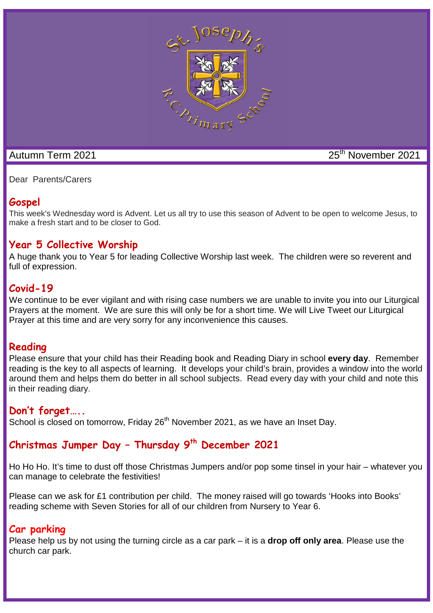

# Autumn Term 2021 25<sup>th</sup> November 2021

Dear Parents/Carers

# **Gospel**

This week's Wednesday word is Advent. Let us all try to use this season of Advent to be open to welcome Jesus, to make a fresh start and to be closer to God.

## **Year 5 Collective Worship**

A huge thank you to Year 5 for leading Collective Worship last week. The children were so reverent and full of expression.

## **Covid-19**

We continue to be ever vigilant and with rising case numbers we are unable to invite you into our Liturgical Prayers at the moment. We are sure this will only be for a short time. We will Live Tweet our Liturgical Prayer at this time and are very sorry for any inconvenience this causes.

## **Reading**

Please ensure that your child has their Reading book and Reading Diary in school **every day**. Remember reading is the key to all aspects of learning. It develops your child's brain, provides a window into the world around them and helps them do better in all school subjects. Read every day with your child and note this in their reading diary.

## **Don't forget…..**

School is closed on tomorrow, Friday 26<sup>th</sup> November 2021, as we have an Inset Day.

# **Christmas Jumper Day – Thursday 9th December 2021**

Ho Ho Ho. It's time to dust off those Christmas Jumpers and/or pop some tinsel in your hair – whatever you can manage to celebrate the festivities!

Please can we ask for £1 contribution per child. The money raised will go towards 'Hooks into Books' reading scheme with Seven Stories for all of our children from Nursery to Year 6.

# **Car parking**

Please help us by not using the turning circle as a car park – it is a **drop off only area**. Please use the church car park.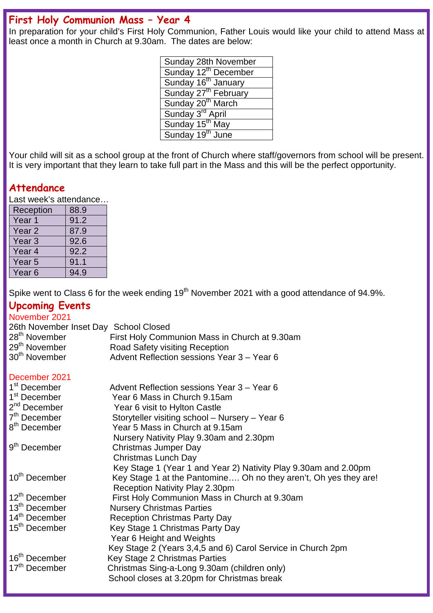## **First Holy Communion Mass – Year 4**

In preparation for your child's First Holy Communion, Father Louis would like your child to attend Mass at least once a month in Church at 9.30am. The dates are below:

| Sunday 28th November             |
|----------------------------------|
| Sunday 12 <sup>th</sup> December |
| Sunday 16 <sup>th</sup> January  |
| Sunday 27 <sup>th</sup> February |
| Sunday 20 <sup>th</sup> March    |
| Sunday 3 <sup>rd</sup> April     |
| Sunday 15 <sup>th</sup> May      |
| Sunday 19 <sup>th</sup> June     |

Your child will sit as a school group at the front of Church where staff/governors from school will be present. It is very important that they learn to take full part in the Mass and this will be the perfect opportunity.

## **Attendance**

Last week's attendance…

| Reception         | 88.9 |
|-------------------|------|
| Year <sub>1</sub> | 91.2 |
| Year <sub>2</sub> | 87.9 |
| Year <sub>3</sub> | 92.6 |
| Year <sub>4</sub> | 92.2 |
| Year <sub>5</sub> | 91.1 |
| Year <sub>6</sub> | 94.9 |

Spike went to Class 6 for the week ending  $19<sup>th</sup>$  November 2021 with a good attendance of 94.9%.

## **Upcoming Events**

## November 2021 26th November Inset Day School Closed  $28<sup>th</sup>$  November First Holy Communion Mass in Church at 9.30am<br> $29<sup>th</sup>$  November Road Safety visiting Reception 29<sup>th</sup> November **Road Safety visiting Reception**<br>30<sup>th</sup> November **Advent Reflection sessions Yea** Advent Reflection sessions Year 3 – Year 6

#### December 2021

| 1 <sup>st</sup> December  | Advent Reflection sessions Year 3 – Year 6                       |
|---------------------------|------------------------------------------------------------------|
| 1 <sup>st</sup> December  | Year 6 Mass in Church 9.15am                                     |
| $2nd$ December            | Year 6 visit to Hylton Castle                                    |
| 7 <sup>th</sup> December  | Storyteller visiting school - Nursery - Year 6                   |
| 8 <sup>th</sup> December  | Year 5 Mass in Church at 9.15am                                  |
|                           | Nursery Nativity Play 9.30am and 2.30pm                          |
| 9 <sup>th</sup> December  | Christmas Jumper Day                                             |
|                           | <b>Christmas Lunch Day</b>                                       |
|                           | Key Stage 1 (Year 1 and Year 2) Nativity Play 9.30am and 2.00pm  |
| 10 <sup>th</sup> December | Key Stage 1 at the Pantomine Oh no they aren't, Oh yes they are! |
|                           | Reception Nativity Play 2.30pm                                   |
| 12 <sup>th</sup> December | First Holy Communion Mass in Church at 9.30am                    |
| 13 <sup>th</sup> December | <b>Nursery Christmas Parties</b>                                 |
| 14 <sup>th</sup> December | <b>Reception Christmas Party Day</b>                             |
| 15 <sup>th</sup> December | Key Stage 1 Christmas Party Day                                  |
|                           | Year 6 Height and Weights                                        |
|                           | Key Stage 2 (Years 3,4,5 and 6) Carol Service in Church 2pm      |
| 16 <sup>th</sup> December | Key Stage 2 Christmas Parties                                    |
| 17 <sup>th</sup> December | Christmas Sing-a-Long 9.30am (children only)                     |
|                           | School closes at 3.20pm for Christmas break                      |